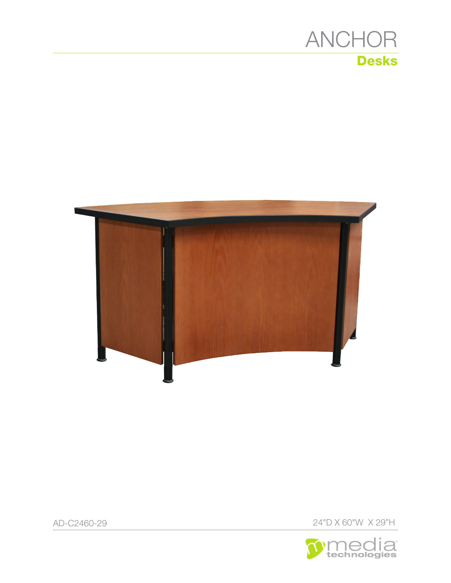



AD-C2460-29

**Media** 

24"D X 60"W X 29"H